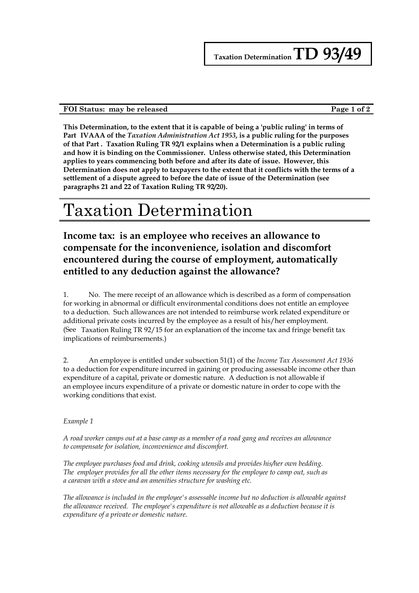### **FOI Status: may be released Page 1 of 2**

**This Determination, to the extent that it is capable of being a 'public ruling' in terms of Part IVAAA of the** *Taxation Administration Act 1953***, is a public ruling for the purposes of that Part . Taxation Ruling TR 92/1 explains when a Determination is a public ruling and how it is binding on the Commissioner. Unless otherwise stated, this Determination applies to years commencing both before and after its date of issue. However, this Determination does not apply to taxpayers to the extent that it conflicts with the terms of a settlement of a dispute agreed to before the date of issue of the Determination (see paragraphs 21 and 22 of Taxation Ruling TR 92/20).**

# Taxation Determination

**Income tax: is an employee who receives an allowance to compensate for the inconvenience, isolation and discomfort encountered during the course of employment, automatically entitled to any deduction against the allowance?**

1. No. The mere receipt of an allowance which is described as a form of compensation for working in abnormal or difficult environmental conditions does not entitle an employee to a deduction. Such allowances are not intended to reimburse work related expenditure or additional private costs incurred by the employee as a result of his/her employment. (See Taxation Ruling TR 92/15 for an explanation of the income tax and fringe benefit tax implications of reimbursements.)

2. An employee is entitled under subsection 51(1) of the *Income Tax Assessment Act 1936* to a deduction for expenditure incurred in gaining or producing assessable income other than expenditure of a capital, private or domestic nature. A deduction is not allowable if an employee incurs expenditure of a private or domestic nature in order to cope with the working conditions that exist.

#### *Example 1*

*A road worker camps out at a base camp as a member of a road gang and receives an allowance to compensate for isolation, inconvenience and discomfort.*

*The employee purchases food and drink, cooking utensils and provides his/her own bedding. The employer provides for all the other items necessary for the employee to camp out, such as a caravan with a stove and an amenities structure for washing etc.*

*The allowance is included in the employee's assessable income but no deduction is allowable against the allowance received. The employee's expenditure is not allowable as a deduction because it is expenditure of a private or domestic nature.*